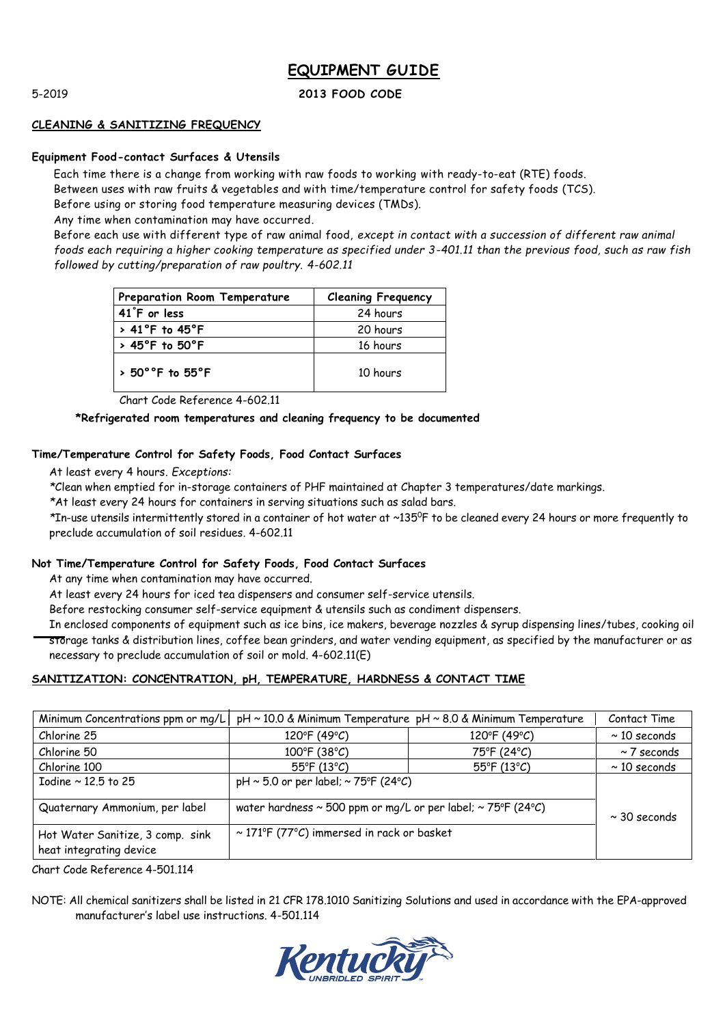## 5-2019 **2013 FOOD CODE**

#### **CLEANING & SANITIZING FREQUENCY**

#### **Equipment Food-contact Surfaces & Utensils**

Each time there is a change from working with raw foods to working with ready-to-eat (RTE) foods. Between uses with raw fruits & vegetables and with time/temperature control for safety foods (TCS).

Before using or storing food temperature measuring devices (TMDs).

Any time when contamination may have occurred.

Before each use with different type of raw animal food, *except in contact with a succession of different raw animal foods each requiring a higher cooking temperature as specified under 3-401.11 than the previous food, such as raw fish followed by cutting/preparation of raw poultry. 4-602.11*

| Preparation Room Temperature            | <b>Cleaning Frequency</b> |
|-----------------------------------------|---------------------------|
| 41°F or less                            | 24 hours                  |
| $> 41^{\circ}$ F to $45^{\circ}$ F      | 20 hours                  |
| $>$ 45°F to 50°F                        | 16 hours                  |
| $>$ 50 $^{\circ}$ °F to 55 $^{\circ}$ F | 10 hours                  |

Chart Code Reference 4-602.11

## **\*Refrigerated room temperatures and cleaning frequency to be documented**

### **Time/Temperature Control for Safety Foods, Food Contact Surfaces**

At least every 4 hours. *Exceptions:*

*\**Clean when emptied for in-storage containers of PHF maintained at Chapter 3 temperatures/date markings.

*\**At least every 24 hours for containers in serving situations such as salad bars.

*\**In-use utensils intermittently stored in a container of hot water at ~135<sup>0</sup>F to be cleaned every 24 hours or more frequently to preclude accumulation of soil residues. 4-602.11

### **Not Time/Temperature Control for Safety Foods, Food Contact Surfaces**

At any time when contamination may have occurred.

At least every 24 hours for iced tea dispensers and consumer self-service utensils.

Before restocking consumer self-service equipment & utensils such as condiment dispensers.

In enclosed components of equipment such as ice bins, ice makers, beverage nozzles & syrup dispensing lines/tubes, cooking oil storage tanks & distribution lines, coffee bean grinders, and water vending equipment, as specified by the manufacturer or as necessary to preclude accumulation of soil or mold. 4-602.11(E)

## **SANITIZATION: CONCENTRATION, pH, TEMPERATURE, HARDNESS & CONTACT TIME**

| Minimum Concentrations ppm or mg/L   pH ~ 10.0 & Minimum Temperature pH ~ 8.0 & Minimum Temperature |                                                                        |                       | Contact Time      |
|-----------------------------------------------------------------------------------------------------|------------------------------------------------------------------------|-----------------------|-------------------|
| Chlorine 25                                                                                         | 120°F (49°C)                                                           | 120°F (49°C)          | $\sim$ 10 seconds |
| Chlorine 50                                                                                         | $100^{\circ}$ F (38°C)                                                 | 75°F (24°C)           | $\sim$ 7 seconds  |
| Chlorine 100                                                                                        | $55^{\circ}$ F (13°C)                                                  | $55^{\circ}$ F (13°C) | $\sim$ 10 seconds |
| Iodine $\sim$ 12.5 to 25                                                                            | pH $\sim$ 5.0 or per label; $\sim$ 75°F (24°C)                         |                       |                   |
| Quaternary Ammonium, per label                                                                      | water hardness $\sim$ 500 ppm or mg/L or per label; $\sim$ 75°F (24°C) |                       | $\sim$ 30 seconds |
| Hot Water Sanitize, 3 comp. sink<br>heat integrating device                                         | $\sim$ 171°F (77°C) immersed in rack or basket                         |                       |                   |

Chart Code Reference 4-501.114

NOTE: All chemical sanitizers shall be listed in 21 CFR 178.1010 Sanitizing Solutions and used in accordance with the EPA-approved manufacturer's label use instructions. 4-501.114

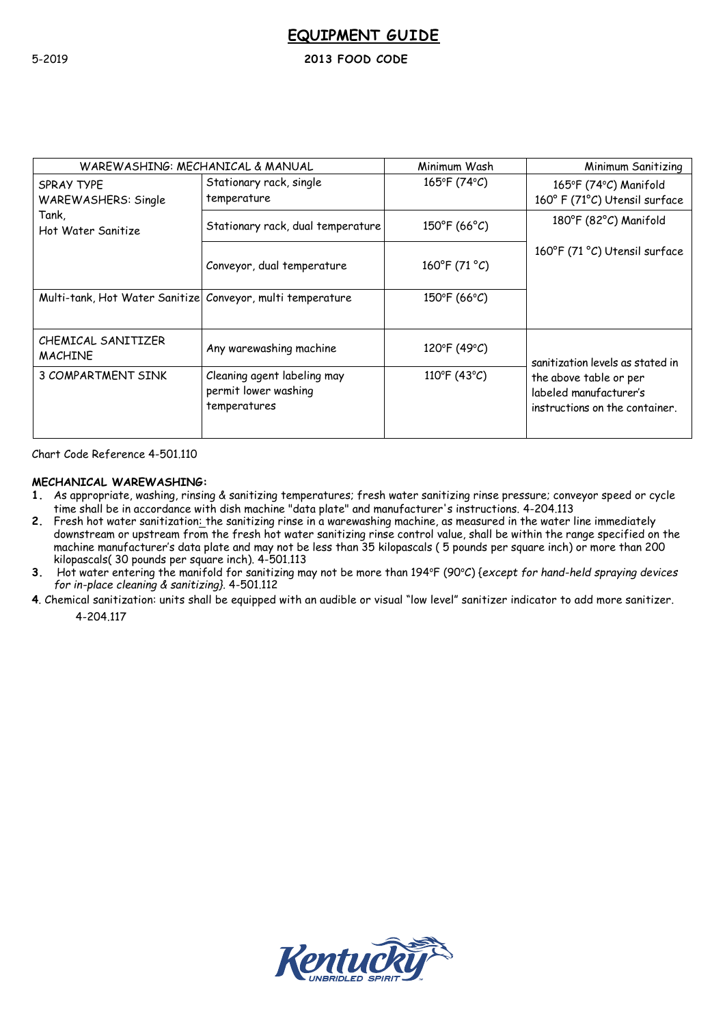## 5-2019 **2013 FOOD CODE**

| WAREWASHING: MECHANICAL & MANUAL                           |                                                                     | Minimum Wash            | Minimum Sanitizing                                                                 |
|------------------------------------------------------------|---------------------------------------------------------------------|-------------------------|------------------------------------------------------------------------------------|
| SPRAY TYPE<br><b>WAREWASHERS: Single</b>                   | Stationary rack, single<br>temperature                              | 165°F (74°C)            | 165°F (74°C) Manifold<br>160° F (71°C) Utensil surface                             |
| Tank,<br>Hot Water Sanitize                                | Stationary rack, dual temperature                                   | $150^{\circ}$ F (66°C)  | 180°F (82°C) Manifold                                                              |
|                                                            | Conveyor, dual temperature                                          | $160^{\circ}$ F (71 °C) | 160°F (71 °C) Utensil surface                                                      |
| Multi-tank, Hot Water Sanitize Conveyor, multi temperature |                                                                     | 150°F (66°C)            |                                                                                    |
| CHEMICAL SANITIZER<br><b>MACHINE</b>                       | Any warewashing machine                                             | 120°F (49°C)            | sanitization levels as stated in                                                   |
| 3 COMPARTMENT SINK                                         | Cleaning agent labeling may<br>permit lower washing<br>temperatures | 110°F (43°C)            | the above table or per<br>labeled manufacturer's<br>instructions on the container. |

Chart Code Reference 4-501.110

## **MECHANICAL WAREWASHING:**

- **1.** As appropriate, washing, rinsing & sanitizing temperatures; fresh water sanitizing rinse pressure; conveyor speed or cycle time shall be in accordance with dish machine "data plate" and manufacturer's instructions. 4-204.113
- **2.** Fresh hot water sanitization: the sanitizing rinse in a warewashing machine, as measured in the water line immediately downstream or upstream from the fresh hot water sanitizing rinse control value, shall be within the range specified on the machine manufacturer's data plate and may not be less than 35 kilopascals ( 5 pounds per square inch) or more than 200 kilopascals( 30 pounds per square inch). 4-501.113
- 3. Hot water entering the manifold for sanitizing may not be more than 194°F (90°C) {except for hand-held spraying devices *for in-place cleaning & sanitizing}.* 4-501.112
- **4**. Chemical sanitization: units shall be equipped with an audible or visual "low level" sanitizer indicator to add more sanitizer.

4-204.117

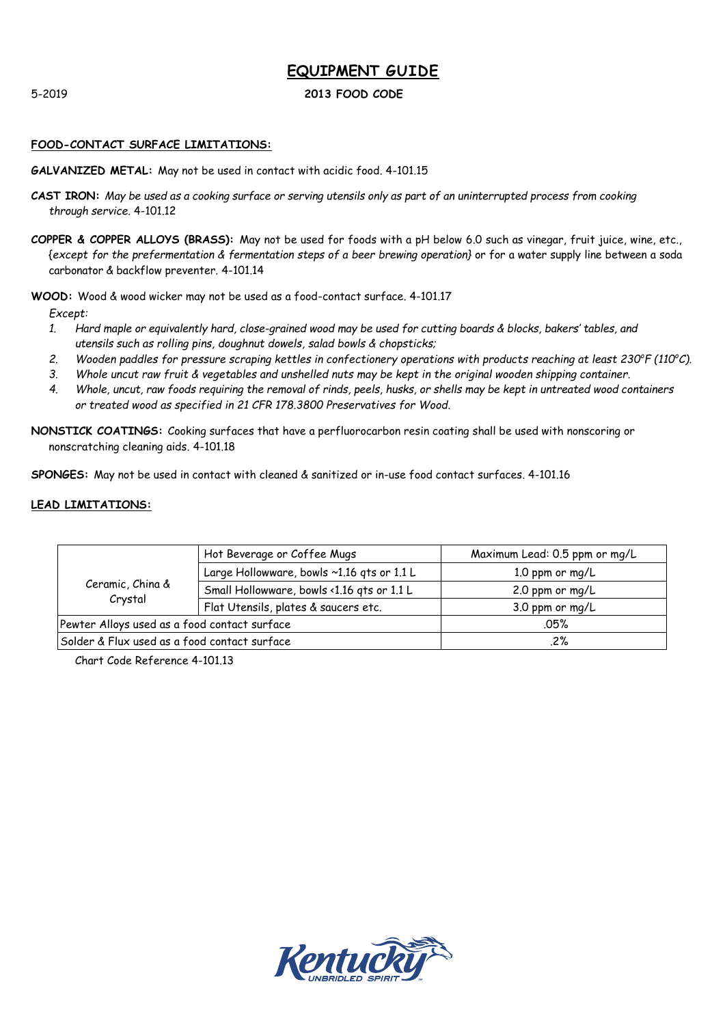## 5-2019 **2013 FOOD CODE**

## **FOOD-CONTACT SURFACE LIMITATIONS:**

**GALVANIZED METAL:** May not be used in contact with acidic food. 4-101.15

- **CAST IRON:** *May be used as a cooking surface or serving utensils only as part of an uninterrupted process from cooking through service.* 4-101.12
- **COPPER & COPPER ALLOYS (BRASS):** May not be used for foods with a pH below 6.0 such as vinegar, fruit juice, wine, etc., {*except for the prefermentation & fermentation steps of a beer brewing operation}* or for a water supply line between a soda carbonator & backflow preventer. 4-101.14

**WOOD:** Wood & wood wicker may not be used as a food-contact surface. 4-101.17

*Except:*

- *1. Hard maple or equivalently hard, close-grained wood may be used for cutting boards & blocks, bakers' tables, and utensils such as rolling pins, doughnut dowels, salad bowls & chopsticks;*
- *2. Wooden paddles for pressure scraping kettles in confectionery operations with products reaching at least 230<sup>o</sup>F (110<sup>o</sup>C).*
- *3. Whole uncut raw fruit & vegetables and unshelled nuts may be kept in the original wooden shipping container.*
- *4. Whole, uncut, raw foods requiring the removal of rinds, peels, husks, or shells may be kept in untreated wood containers or treated wood as specified in 21 CFR 178.3800 Preservatives for Wood.*
- **NONSTICK COATINGS:** Cooking surfaces that have a perfluorocarbon resin coating shall be used with nonscoring or nonscratching cleaning aids. 4-101.18

**SPONGES:** May not be used in contact with cleaned & sanitized or in-use food contact surfaces. 4-101.16

### **LEAD LIMITATIONS:**

|                                              | Hot Beverage or Coffee Mugs                | Maximum Lead: 0.5 ppm or mg/L |
|----------------------------------------------|--------------------------------------------|-------------------------------|
| Ceramic, China &<br>Crystal                  | Large Hollowware, bowls ~1.16 qts or 1.1 L | 1.0 ppm or $mq/L$             |
|                                              | Small Hollowware, bowls <1.16 qts or 1.1 L | 2.0 ppm or $mq/L$             |
|                                              | Flat Utensils, plates & saucers etc.       | 3.0 ppm or mg/L               |
| Pewter Alloys used as a food contact surface |                                            | .05%                          |
| Solder & Flux used as a food contact surface |                                            | .2%                           |

Chart Code Reference 4-101.13